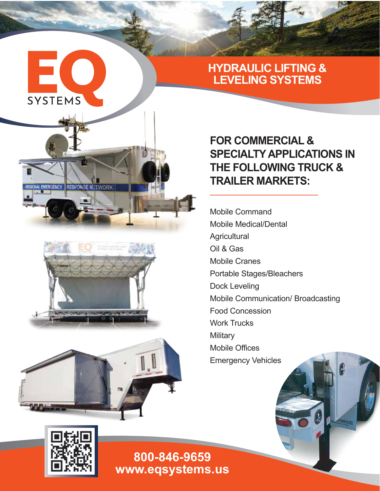

**IERGENCY RESPONSE NETWORK** 

## **HYDRAULIC LIFTING & LEVELING SYSTEMS**

# **FOR COMMERCIAL & SPECIALTY APPLICATIONS IN THE FOLLOWING TRUCK & TRAILER MARKETS:**

Mobile Command Mobile Medical/Dental **Agricultural** Oil & Gas Mobile Cranes Portable Stages/Bleachers Dock Leveling Mobile Communication/ Broadcasting Food Concession Work Trucks **Military** Mobile Offices Emergency Vehicles





**www.eqsystems.us 800-846-9659**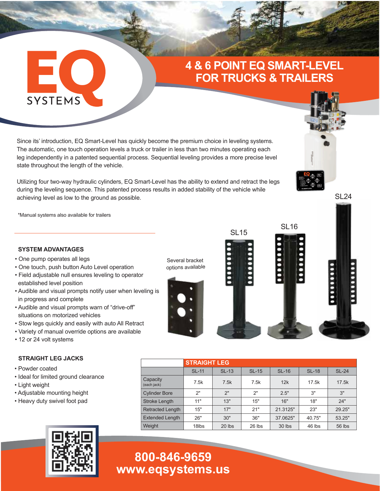## **4 & 6 POINT EQ SMART-LEVEL FOR TRUCKS & TRAILERS**

Since its' introduction, EQ Smart-Level has quickly become the premium choice in leveling systems. The automatic, one touch operation levels a truck or trailer in less than two minutes operating each leg independently in a patented sequential process. Sequential leveling provides a more precise level state throughout the length of the vehicle.

Utilizing four two-way hydraulic cylinders, EQ Smart-Level has the ability to extend and retract the legs during the leveling sequence. This patented process results in added stability of the vehicle while achieving level as low to the ground as possible.

\*Manual systems also available for trailers

EC

**SYSTEMS** 

#### **SYSTEM ADVANTAGES**

- One pump operates all legs
- One touch, push button Auto Level operation
- Field adjustable null ensures leveling to operator established level position
- Audible and visual prompts notify user when leveling is in progress and complete
- Audible and visual prompts warn of "drive-off" situations on motorized vehicles
- Stow legs quickly and easily with auto All Retract
- Variety of manual override options are available
- 12 or 24 volt systems

#### **STRAIGHT LEG JACKS**

- Powder coated
- Ideal for limited ground clearance
- Light weight
- Adjustable mounting height
- Heavy duty swivel foot pad



# **www.eqsystems.us 800-846-9659**



|                         | <b>STRAIGHT LEG</b> |              |         |              |              |              |  |  |  |  |
|-------------------------|---------------------|--------------|---------|--------------|--------------|--------------|--|--|--|--|
|                         |                     |              |         |              |              |              |  |  |  |  |
|                         | <b>SL-11</b>        | <b>SL-13</b> | $SL-15$ | <b>SL-16</b> | <b>SL-18</b> | <b>SL-24</b> |  |  |  |  |
| Capacity<br>(each jack) | 7.5k                | 7.5k         | 7.5k    | 12k          | 17.5k        | 17.5k        |  |  |  |  |
| <b>Cylinder Bore</b>    | 2"                  | 2"           | 2"      | 2.5"         | 3"           | 3"           |  |  |  |  |
| Stroke Length           | 11"                 | 13"          | 15"     | 16"          | 18"          | 24"          |  |  |  |  |
| <b>Retracted Length</b> | 15"                 | 17"          | 21"     | 21.3125"     | 23"          | 29.25"       |  |  |  |  |
| <b>Extended Length</b>  | 26"                 | 30"          | 36"     | 37.0625"     | 40.75"       | 53.25"       |  |  |  |  |
| Weight                  | 18 <sub>lbs</sub>   | 20 lbs       | 26 lbs  | 30 lbs       | 46 lbs       | 56 lbs       |  |  |  |  |

### SI 24

**LEFT RIGHT**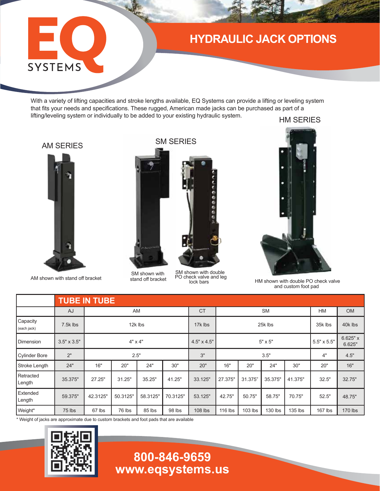## **HYDRAULIC JACK OPTIONS**

With a variety of lifting capacities and stroke lengths available, EQ Systems can provide a lifting or leveling system that fits your needs and specifications. These rugged, American made jacks can be purchased as part of a lifting/leveling system or individually to be added to your existing hydraulic system.

HM SERIES

### AM SERIES

EO.

SYSTEMS



AM shown with stand off bracket

SM SERIES



SM shown with stand off bracket

SM shown with double PO check valve and leg lock bars



HM shown with double PO check valve and custom foot pad

|                         | <b>TUBE IN TUBE</b> |                |          |          |          |                    |                |         |         |         |                    |                      |
|-------------------------|---------------------|----------------|----------|----------|----------|--------------------|----------------|---------|---------|---------|--------------------|----------------------|
|                         | AJ                  | AM             |          |          |          | <b>CT</b>          | <b>SM</b>      |         |         |         | <b>HM</b>          | <b>OM</b>            |
| Capacity<br>(each jack) | 7.5k lbs            | 12k lbs        |          |          |          | 17k lbs            | 25k lbs        |         |         |         | 35k lbs            | 40k lbs              |
| Dimension               | $3.5" \times 3.5"$  | $4" \times 4"$ |          |          |          | $4.5" \times 4.5"$ | $5" \times 5"$ |         |         |         | $5.5" \times 5.5"$ | $6.625"$ x<br>6.625" |
| <b>Cylinder Bore</b>    | 2"                  | 2.5"           |          |          |          | 3"                 | 3.5"           |         |         |         | 4"                 | 4.5"                 |
| Stroke Length           | 24"                 | 16"            | 20"      | 24"      | 30"      | 20"                | 16"            | 20"     | 24"     | 30"     | 20"                | 16"                  |
| Retracted<br>Length     | 35.375"             | 27.25"         | 31.25"   | 35.25"   | 41.25"   | 33.125"            | 27.375"        | 31.375" | 35.375" | 41.375" | 32.5"              | 32.75"               |
| Extended<br>Length      | 59.375"             | 42.3125"       | 50.3125" | 58.3125" | 70.3125" | 53.125"            | 42.75"         | 50.75"  | 58.75"  | 70.75"  | 52.5"              | 48.75"               |
| Weight*                 | 75 lbs              | 67 lbs         | 76 lbs   | 85 lbs   | 98 lbs   | 108 lbs            | 116 lbs        | 103 lbs | 130 lbs | 135 lbs | $167$ lbs          | 170 lbs              |

\* Weight of jacks are approximate due to custom brackets and foot pads that are available



# **www.eqsystems.us 800-846-9659**